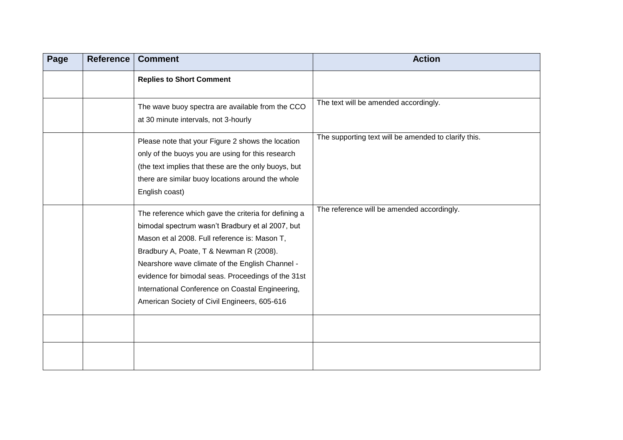| Page | Reference | <b>Comment</b>                                                                                                                                                                                                                                                                                                                                                                                                    | <b>Action</b>                                        |
|------|-----------|-------------------------------------------------------------------------------------------------------------------------------------------------------------------------------------------------------------------------------------------------------------------------------------------------------------------------------------------------------------------------------------------------------------------|------------------------------------------------------|
|      |           | <b>Replies to Short Comment</b>                                                                                                                                                                                                                                                                                                                                                                                   |                                                      |
|      |           | The wave buoy spectra are available from the CCO<br>at 30 minute intervals, not 3-hourly                                                                                                                                                                                                                                                                                                                          | The text will be amended accordingly.                |
|      |           | Please note that your Figure 2 shows the location<br>only of the buoys you are using for this research<br>(the text implies that these are the only buoys, but<br>there are similar buoy locations around the whole<br>English coast)                                                                                                                                                                             | The supporting text will be amended to clarify this. |
|      |           | The reference which gave the criteria for defining a<br>bimodal spectrum wasn't Bradbury et al 2007, but<br>Mason et al 2008. Full reference is: Mason T,<br>Bradbury A, Poate, T & Newman R (2008).<br>Nearshore wave climate of the English Channel -<br>evidence for bimodal seas. Proceedings of the 31st<br>International Conference on Coastal Engineering,<br>American Society of Civil Engineers, 605-616 | The reference will be amended accordingly.           |
|      |           |                                                                                                                                                                                                                                                                                                                                                                                                                   |                                                      |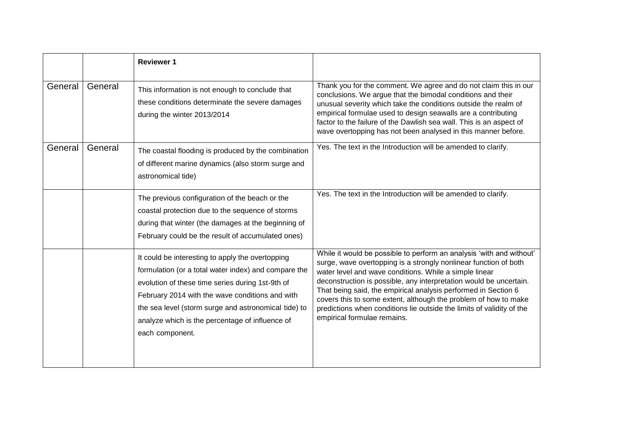|         |         | <b>Reviewer 1</b>                                                                                                                                                                                                                                                                                                                             |                                                                                                                                                                                                                                                                                                                                                                                                                                                                                                                       |
|---------|---------|-----------------------------------------------------------------------------------------------------------------------------------------------------------------------------------------------------------------------------------------------------------------------------------------------------------------------------------------------|-----------------------------------------------------------------------------------------------------------------------------------------------------------------------------------------------------------------------------------------------------------------------------------------------------------------------------------------------------------------------------------------------------------------------------------------------------------------------------------------------------------------------|
| General | General | This information is not enough to conclude that<br>these conditions determinate the severe damages<br>during the winter 2013/2014                                                                                                                                                                                                             | Thank you for the comment. We agree and do not claim this in our<br>conclusions. We argue that the bimodal conditions and their<br>unusual severity which take the conditions outside the realm of<br>empirical formulae used to design seawalls are a contributing<br>factor to the failure of the Dawlish sea wall. This is an aspect of<br>wave overtopping has not been analysed in this manner before.                                                                                                           |
| General | General | The coastal flooding is produced by the combination<br>of different marine dynamics (also storm surge and<br>astronomical tide)                                                                                                                                                                                                               | Yes. The text in the Introduction will be amended to clarify.                                                                                                                                                                                                                                                                                                                                                                                                                                                         |
|         |         | The previous configuration of the beach or the<br>coastal protection due to the sequence of storms<br>during that winter (the damages at the beginning of<br>February could be the result of accumulated ones)                                                                                                                                | Yes. The text in the Introduction will be amended to clarify.                                                                                                                                                                                                                                                                                                                                                                                                                                                         |
|         |         | It could be interesting to apply the overtopping<br>formulation (or a total water index) and compare the<br>evolution of these time series during 1st-9th of<br>February 2014 with the wave conditions and with<br>the sea level (storm surge and astronomical tide) to<br>analyze which is the percentage of influence of<br>each component. | While it would be possible to perform an analysis 'with and without'<br>surge, wave overtopping is a strongly nonlinear function of both<br>water level and wave conditions. While a simple linear<br>deconstruction is possible, any interpretation would be uncertain.<br>That being said, the empirical analysis performed in Section 6<br>covers this to some extent, although the problem of how to make<br>predictions when conditions lie outside the limits of validity of the<br>empirical formulae remains. |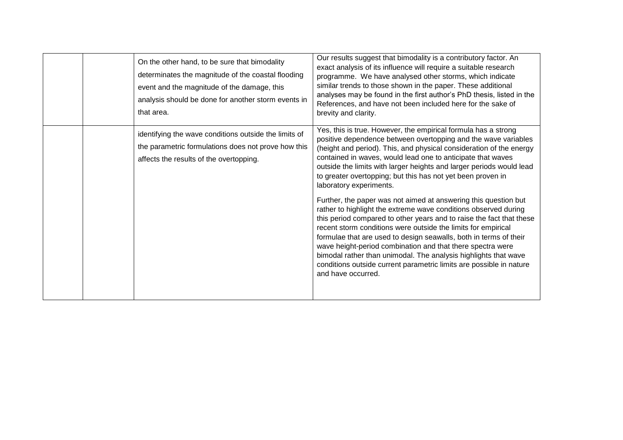| On the other hand, to be sure that bimodality<br>determinates the magnitude of the coastal flooding<br>event and the magnitude of the damage, this<br>analysis should be done for another storm events in<br>that area. | Our results suggest that bimodality is a contributory factor. An<br>exact analysis of its influence will require a suitable research<br>programme. We have analysed other storms, which indicate<br>similar trends to those shown in the paper. These additional<br>analyses may be found in the first author's PhD thesis, listed in the<br>References, and have not been included here for the sake of<br>brevity and clarity.                                                                                                                                                                                                                                                                                                                                                                                                                                                                                                                                                                                           |
|-------------------------------------------------------------------------------------------------------------------------------------------------------------------------------------------------------------------------|----------------------------------------------------------------------------------------------------------------------------------------------------------------------------------------------------------------------------------------------------------------------------------------------------------------------------------------------------------------------------------------------------------------------------------------------------------------------------------------------------------------------------------------------------------------------------------------------------------------------------------------------------------------------------------------------------------------------------------------------------------------------------------------------------------------------------------------------------------------------------------------------------------------------------------------------------------------------------------------------------------------------------|
| identifying the wave conditions outside the limits of<br>the parametric formulations does not prove how this<br>affects the results of the overtopping.                                                                 | Yes, this is true. However, the empirical formula has a strong<br>positive dependence between overtopping and the wave variables<br>(height and period). This, and physical consideration of the energy<br>contained in waves, would lead one to anticipate that waves<br>outside the limits with larger heights and larger periods would lead<br>to greater overtopping; but this has not yet been proven in<br>laboratory experiments.<br>Further, the paper was not aimed at answering this question but<br>rather to highlight the extreme wave conditions observed during<br>this period compared to other years and to raise the fact that these<br>recent storm conditions were outside the limits for empirical<br>formulae that are used to design seawalls, both in terms of their<br>wave height-period combination and that there spectra were<br>bimodal rather than unimodal. The analysis highlights that wave<br>conditions outside current parametric limits are possible in nature<br>and have occurred. |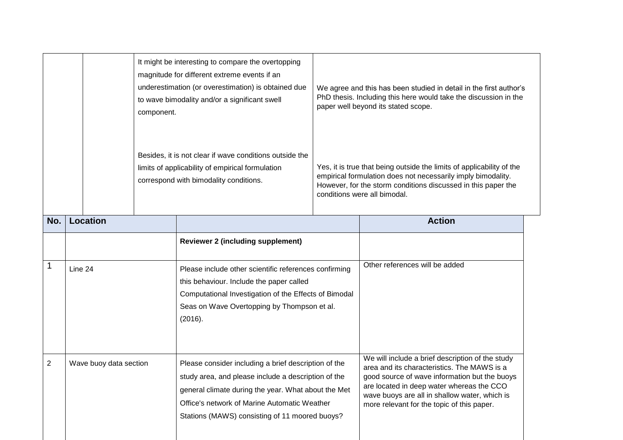| It might be interesting to compare the overtopping<br>component. |                        | magnitude for different extreme events if an<br>underestimation (or overestimation) is obtained due<br>to wave bimodality and/or a significant swell                                                                                                                 | We agree and this has been studied in detail in the first author's<br>PhD thesis. Including this here would take the discussion in the<br>paper well beyond its stated scope.                                                                                                                |
|------------------------------------------------------------------|------------------------|----------------------------------------------------------------------------------------------------------------------------------------------------------------------------------------------------------------------------------------------------------------------|----------------------------------------------------------------------------------------------------------------------------------------------------------------------------------------------------------------------------------------------------------------------------------------------|
|                                                                  |                        | Besides, it is not clear if wave conditions outside the<br>limits of applicability of empirical formulation<br>correspond with bimodality conditions.                                                                                                                | Yes, it is true that being outside the limits of applicability of the<br>empirical formulation does not necessarily imply bimodality.<br>However, for the storm conditions discussed in this paper the<br>conditions were all bimodal.                                                       |
| No.                                                              | <b>Location</b>        |                                                                                                                                                                                                                                                                      | <b>Action</b>                                                                                                                                                                                                                                                                                |
|                                                                  |                        | <b>Reviewer 2 (including supplement)</b>                                                                                                                                                                                                                             |                                                                                                                                                                                                                                                                                              |
| 1                                                                | Line 24                | Please include other scientific references confirming<br>this behaviour. Include the paper called<br>Computational Investigation of the Effects of Bimodal<br>Seas on Wave Overtopping by Thompson et al.<br>(2016).                                                 | Other references will be added                                                                                                                                                                                                                                                               |
| $\overline{2}$                                                   | Wave buoy data section | Please consider including a brief description of the<br>study area, and please include a description of the<br>general climate during the year. What about the Met<br>Office's network of Marine Automatic Weather<br>Stations (MAWS) consisting of 11 moored buoys? | We will include a brief description of the study<br>area and its characteristics. The MAWS is a<br>good source of wave information but the buoys<br>are located in deep water whereas the CCO<br>wave buoys are all in shallow water, which is<br>more relevant for the topic of this paper. |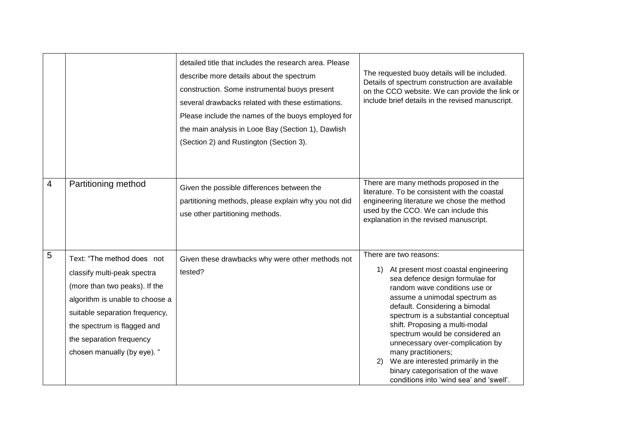|                |                                                                                                                                                                                                                                                           | detailed title that includes the research area. Please<br>describe more details about the spectrum<br>construction. Some instrumental buoys present<br>several drawbacks related with these estimations.<br>Please include the names of the buoys employed for<br>the main analysis in Looe Bay (Section 1), Dawlish<br>(Section 2) and Rustington (Section 3). | The requested buoy details will be included.<br>Details of spectrum construction are available<br>on the CCO website. We can provide the link or<br>include brief details in the revised manuscript.                                                                                                                                                                                                                                                                                                           |
|----------------|-----------------------------------------------------------------------------------------------------------------------------------------------------------------------------------------------------------------------------------------------------------|-----------------------------------------------------------------------------------------------------------------------------------------------------------------------------------------------------------------------------------------------------------------------------------------------------------------------------------------------------------------|----------------------------------------------------------------------------------------------------------------------------------------------------------------------------------------------------------------------------------------------------------------------------------------------------------------------------------------------------------------------------------------------------------------------------------------------------------------------------------------------------------------|
| $\overline{4}$ | Partitioning method                                                                                                                                                                                                                                       | Given the possible differences between the<br>partitioning methods, please explain why you not did<br>use other partitioning methods.                                                                                                                                                                                                                           | There are many methods proposed in the<br>literature. To be consistent with the coastal<br>engineering literature we chose the method<br>used by the CCO. We can include this<br>explanation in the revised manuscript.                                                                                                                                                                                                                                                                                        |
| 5              | Text: "The method does not<br>classify multi-peak spectra<br>(more than two peaks). If the<br>algorithm is unable to choose a<br>suitable separation frequency,<br>the spectrum is flagged and<br>the separation frequency<br>chosen manually (by eye). " | Given these drawbacks why were other methods not<br>tested?                                                                                                                                                                                                                                                                                                     | There are two reasons:<br>At present most coastal engineering<br>1)<br>sea defence design formulae for<br>random wave conditions use or<br>assume a unimodal spectrum as<br>default. Considering a bimodal<br>spectrum is a substantial conceptual<br>shift. Proposing a multi-modal<br>spectrum would be considered an<br>unnecessary over-complication by<br>many practitioners;<br>We are interested primarily in the<br>2)<br>binary categorisation of the wave<br>conditions into 'wind sea' and 'swell'. |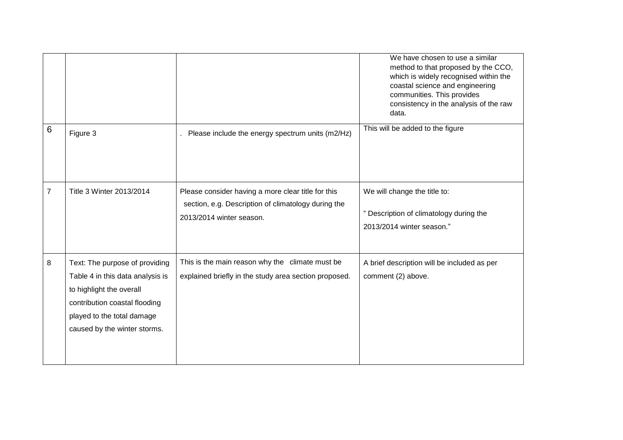|                 |                                                                                                                                                                                               |                                                                                                                                       | We have chosen to use a similar<br>method to that proposed by the CCO,<br>which is widely recognised within the<br>coastal science and engineering<br>communities. This provides<br>consistency in the analysis of the raw<br>data. |
|-----------------|-----------------------------------------------------------------------------------------------------------------------------------------------------------------------------------------------|---------------------------------------------------------------------------------------------------------------------------------------|-------------------------------------------------------------------------------------------------------------------------------------------------------------------------------------------------------------------------------------|
| $6\phantom{1}6$ | Figure 3                                                                                                                                                                                      | Please include the energy spectrum units (m2/Hz)                                                                                      | This will be added to the figure                                                                                                                                                                                                    |
| $\overline{7}$  | Title 3 Winter 2013/2014                                                                                                                                                                      | Please consider having a more clear title for this<br>section, e.g. Description of climatology during the<br>2013/2014 winter season. | We will change the title to:<br>" Description of climatology during the<br>2013/2014 winter season."                                                                                                                                |
| 8               | Text: The purpose of providing<br>Table 4 in this data analysis is<br>to highlight the overall<br>contribution coastal flooding<br>played to the total damage<br>caused by the winter storms. | This is the main reason why the climate must be<br>explained briefly in the study area section proposed.                              | A brief description will be included as per<br>comment (2) above.                                                                                                                                                                   |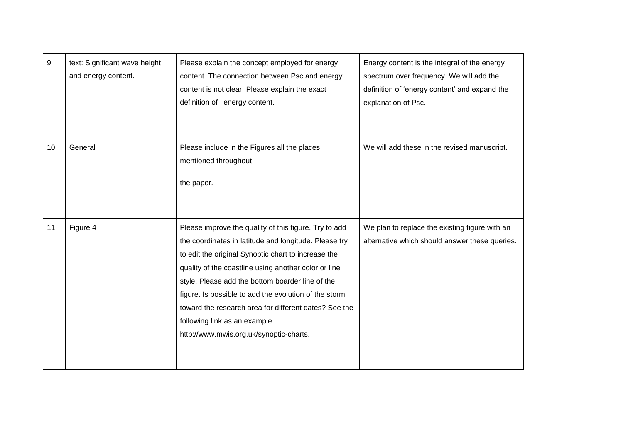| 9  | text: Significant wave height<br>and energy content. | Please explain the concept employed for energy<br>content. The connection between Psc and energy<br>content is not clear. Please explain the exact<br>definition of energy content.                                                                                                                                                                                                                                                                                             | Energy content is the integral of the energy<br>spectrum over frequency. We will add the<br>definition of 'energy content' and expand the<br>explanation of Psc. |
|----|------------------------------------------------------|---------------------------------------------------------------------------------------------------------------------------------------------------------------------------------------------------------------------------------------------------------------------------------------------------------------------------------------------------------------------------------------------------------------------------------------------------------------------------------|------------------------------------------------------------------------------------------------------------------------------------------------------------------|
| 10 | General                                              | Please include in the Figures all the places<br>mentioned throughout<br>the paper.                                                                                                                                                                                                                                                                                                                                                                                              | We will add these in the revised manuscript.                                                                                                                     |
| 11 | Figure 4                                             | Please improve the quality of this figure. Try to add<br>the coordinates in latitude and longitude. Please try<br>to edit the original Synoptic chart to increase the<br>quality of the coastline using another color or line<br>style. Please add the bottom boarder line of the<br>figure. Is possible to add the evolution of the storm<br>toward the research area for different dates? See the<br>following link as an example.<br>http://www.mwis.org.uk/synoptic-charts. | We plan to replace the existing figure with an<br>alternative which should answer these queries.                                                                 |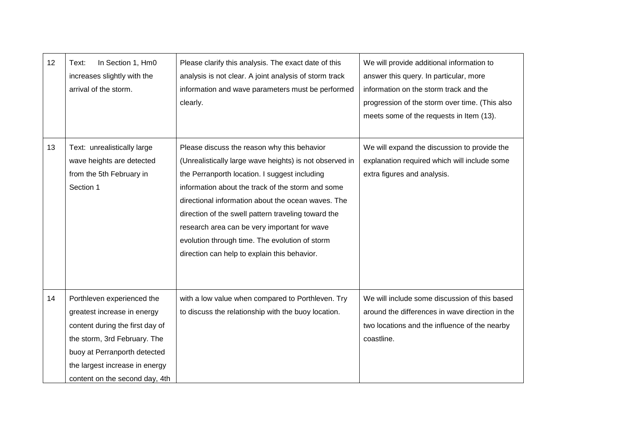| 12 | In Section 1, Hm0<br>Text:<br>increases slightly with the<br>arrival of the storm.                                                                                                                                               | Please clarify this analysis. The exact date of this<br>analysis is not clear. A joint analysis of storm track<br>information and wave parameters must be performed<br>clearly.                                                                                                                                                                                                                                                                                             | We will provide additional information to<br>answer this query. In particular, more<br>information on the storm track and the<br>progression of the storm over time. (This also<br>meets some of the requests in Item (13). |
|----|----------------------------------------------------------------------------------------------------------------------------------------------------------------------------------------------------------------------------------|-----------------------------------------------------------------------------------------------------------------------------------------------------------------------------------------------------------------------------------------------------------------------------------------------------------------------------------------------------------------------------------------------------------------------------------------------------------------------------|-----------------------------------------------------------------------------------------------------------------------------------------------------------------------------------------------------------------------------|
| 13 | Text: unrealistically large<br>wave heights are detected<br>from the 5th February in<br>Section 1                                                                                                                                | Please discuss the reason why this behavior<br>(Unrealistically large wave heights) is not observed in<br>the Perranporth location. I suggest including<br>information about the track of the storm and some<br>directional information about the ocean waves. The<br>direction of the swell pattern traveling toward the<br>research area can be very important for wave<br>evolution through time. The evolution of storm<br>direction can help to explain this behavior. | We will expand the discussion to provide the<br>explanation required which will include some<br>extra figures and analysis.                                                                                                 |
| 14 | Porthleven experienced the<br>greatest increase in energy<br>content during the first day of<br>the storm, 3rd February. The<br>buoy at Perranporth detected<br>the largest increase in energy<br>content on the second day, 4th | with a low value when compared to Porthleven. Try<br>to discuss the relationship with the buoy location.                                                                                                                                                                                                                                                                                                                                                                    | We will include some discussion of this based<br>around the differences in wave direction in the<br>two locations and the influence of the nearby<br>coastline.                                                             |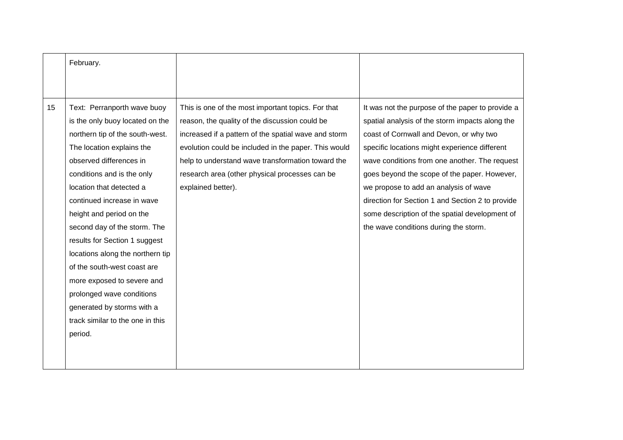|    | February.                        |                                                      |                                                  |
|----|----------------------------------|------------------------------------------------------|--------------------------------------------------|
|    |                                  |                                                      |                                                  |
|    |                                  |                                                      |                                                  |
| 15 | Text: Perranporth wave buoy      | This is one of the most important topics. For that   | It was not the purpose of the paper to provide a |
|    | is the only buoy located on the  | reason, the quality of the discussion could be       | spatial analysis of the storm impacts along the  |
|    | northern tip of the south-west.  | increased if a pattern of the spatial wave and storm | coast of Cornwall and Devon, or why two          |
|    | The location explains the        | evolution could be included in the paper. This would | specific locations might experience different    |
|    | observed differences in          | help to understand wave transformation toward the    | wave conditions from one another. The request    |
|    | conditions and is the only       | research area (other physical processes can be       | goes beyond the scope of the paper. However,     |
|    | location that detected a         | explained better).                                   | we propose to add an analysis of wave            |
|    | continued increase in wave       |                                                      | direction for Section 1 and Section 2 to provide |
|    | height and period on the         |                                                      | some description of the spatial development of   |
|    | second day of the storm. The     |                                                      | the wave conditions during the storm.            |
|    | results for Section 1 suggest    |                                                      |                                                  |
|    | locations along the northern tip |                                                      |                                                  |
|    | of the south-west coast are      |                                                      |                                                  |
|    | more exposed to severe and       |                                                      |                                                  |
|    | prolonged wave conditions        |                                                      |                                                  |
|    | generated by storms with a       |                                                      |                                                  |
|    | track similar to the one in this |                                                      |                                                  |
|    | period.                          |                                                      |                                                  |
|    |                                  |                                                      |                                                  |
|    |                                  |                                                      |                                                  |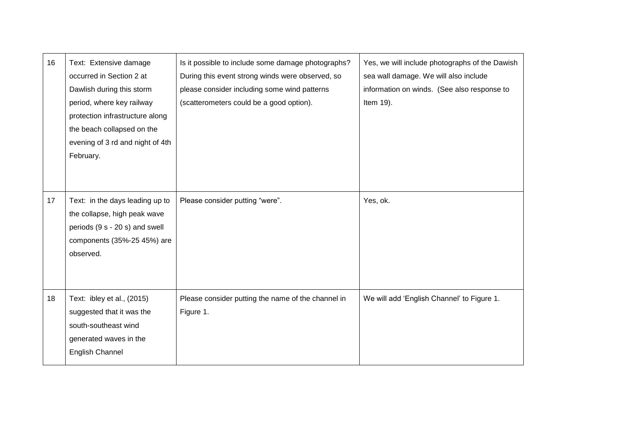| 16 | Text: Extensive damage<br>occurred in Section 2 at<br>Dawlish during this storm<br>period, where key railway<br>protection infrastructure along<br>the beach collapsed on the<br>evening of 3 rd and night of 4th<br>February. | Is it possible to include some damage photographs?<br>During this event strong winds were observed, so<br>please consider including some wind patterns<br>(scatterometers could be a good option). | Yes, we will include photographs of the Dawish<br>sea wall damage. We will also include<br>information on winds. (See also response to<br>Item 19). |
|----|--------------------------------------------------------------------------------------------------------------------------------------------------------------------------------------------------------------------------------|----------------------------------------------------------------------------------------------------------------------------------------------------------------------------------------------------|-----------------------------------------------------------------------------------------------------------------------------------------------------|
| 17 | Text: in the days leading up to<br>the collapse, high peak wave<br>periods (9 s - 20 s) and swell<br>components (35%-25 45%) are<br>observed.                                                                                  | Please consider putting "were".                                                                                                                                                                    | Yes, ok.                                                                                                                                            |
| 18 | Text: ibley et al., (2015)<br>suggested that it was the<br>south-southeast wind<br>generated waves in the<br><b>English Channel</b>                                                                                            | Please consider putting the name of the channel in<br>Figure 1.                                                                                                                                    | We will add 'English Channel' to Figure 1.                                                                                                          |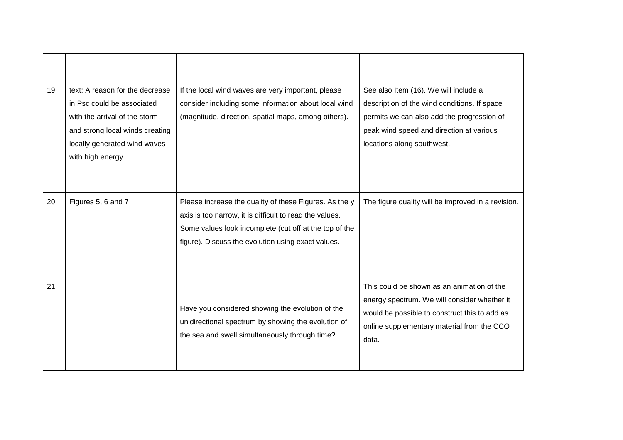| 19 | text: A reason for the decrease<br>in Psc could be associated<br>with the arrival of the storm<br>and strong local winds creating<br>locally generated wind waves<br>with high energy. | If the local wind waves are very important, please<br>consider including some information about local wind<br>(magnitude, direction, spatial maps, among others).                                                                 | See also Item (16). We will include a<br>description of the wind conditions. If space<br>permits we can also add the progression of<br>peak wind speed and direction at various<br>locations along southwest. |
|----|----------------------------------------------------------------------------------------------------------------------------------------------------------------------------------------|-----------------------------------------------------------------------------------------------------------------------------------------------------------------------------------------------------------------------------------|---------------------------------------------------------------------------------------------------------------------------------------------------------------------------------------------------------------|
| 20 | Figures 5, 6 and 7                                                                                                                                                                     | Please increase the quality of these Figures. As the y<br>axis is too narrow, it is difficult to read the values.<br>Some values look incomplete (cut off at the top of the<br>figure). Discuss the evolution using exact values. | The figure quality will be improved in a revision.                                                                                                                                                            |
| 21 |                                                                                                                                                                                        | Have you considered showing the evolution of the<br>unidirectional spectrum by showing the evolution of<br>the sea and swell simultaneously through time?.                                                                        | This could be shown as an animation of the<br>energy spectrum. We will consider whether it<br>would be possible to construct this to add as<br>online supplementary material from the CCO<br>data.            |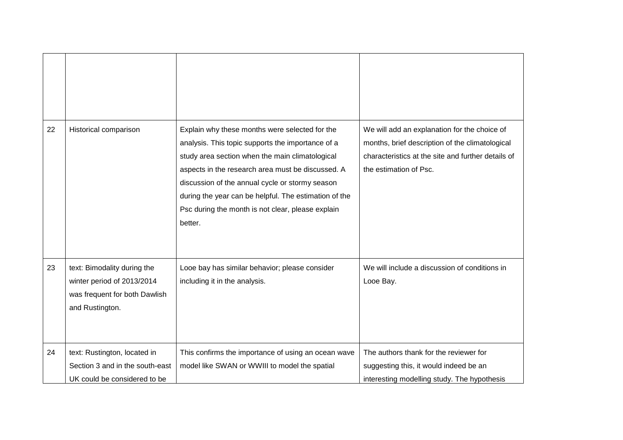| 22 | Historical comparison                                                                                         | Explain why these months were selected for the                                                                                                                                                                                                                                                                                        | We will add an explanation for the choice of                                                                                    |
|----|---------------------------------------------------------------------------------------------------------------|---------------------------------------------------------------------------------------------------------------------------------------------------------------------------------------------------------------------------------------------------------------------------------------------------------------------------------------|---------------------------------------------------------------------------------------------------------------------------------|
|    |                                                                                                               | analysis. This topic supports the importance of a<br>study area section when the main climatological<br>aspects in the research area must be discussed. A<br>discussion of the annual cycle or stormy season<br>during the year can be helpful. The estimation of the<br>Psc during the month is not clear, please explain<br>better. | months, brief description of the climatological<br>characteristics at the site and further details of<br>the estimation of Psc. |
| 23 | text: Bimodality during the<br>winter period of 2013/2014<br>was frequent for both Dawlish<br>and Rustington. | Looe bay has similar behavior; please consider<br>including it in the analysis.                                                                                                                                                                                                                                                       | We will include a discussion of conditions in<br>Looe Bay.                                                                      |
| 24 | text: Rustington, located in<br>Section 3 and in the south-east<br>UK could be considered to be               | This confirms the importance of using an ocean wave<br>model like SWAN or WWIII to model the spatial                                                                                                                                                                                                                                  | The authors thank for the reviewer for<br>suggesting this, it would indeed be an<br>interesting modelling study. The hypothesis |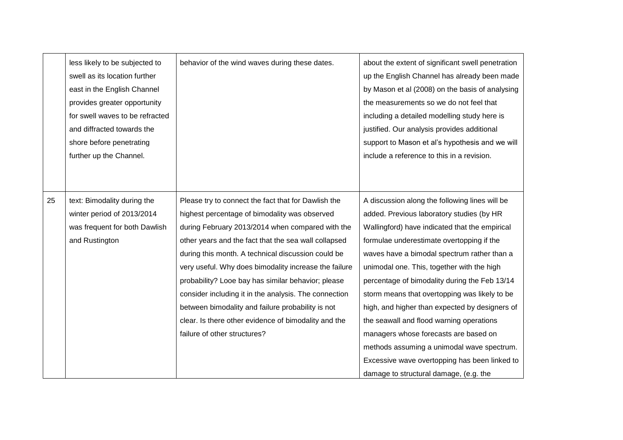|    | less likely to be subjected to<br>swell as its location further<br>east in the English Channel<br>provides greater opportunity<br>for swell waves to be refracted<br>and diffracted towards the<br>shore before penetrating<br>further up the Channel. | behavior of the wind waves during these dates.                                                                                                                                                                                                                                                                                                                                                                                                                                                                                                                                              | about the extent of significant swell penetration<br>up the English Channel has already been made<br>by Mason et al (2008) on the basis of analysing<br>the measurements so we do not feel that<br>including a detailed modelling study here is<br>justified. Our analysis provides additional<br>support to Mason et al's hypothesis and we will<br>include a reference to this in a revision.                                                                                                                                                                                                                                                                           |
|----|--------------------------------------------------------------------------------------------------------------------------------------------------------------------------------------------------------------------------------------------------------|---------------------------------------------------------------------------------------------------------------------------------------------------------------------------------------------------------------------------------------------------------------------------------------------------------------------------------------------------------------------------------------------------------------------------------------------------------------------------------------------------------------------------------------------------------------------------------------------|---------------------------------------------------------------------------------------------------------------------------------------------------------------------------------------------------------------------------------------------------------------------------------------------------------------------------------------------------------------------------------------------------------------------------------------------------------------------------------------------------------------------------------------------------------------------------------------------------------------------------------------------------------------------------|
|    |                                                                                                                                                                                                                                                        |                                                                                                                                                                                                                                                                                                                                                                                                                                                                                                                                                                                             |                                                                                                                                                                                                                                                                                                                                                                                                                                                                                                                                                                                                                                                                           |
| 25 | text: Bimodality during the<br>winter period of 2013/2014<br>was frequent for both Dawlish<br>and Rustington                                                                                                                                           | Please try to connect the fact that for Dawlish the<br>highest percentage of bimodality was observed<br>during February 2013/2014 when compared with the<br>other years and the fact that the sea wall collapsed<br>during this month. A technical discussion could be<br>very useful. Why does bimodality increase the failure<br>probability? Looe bay has similar behavior; please<br>consider including it in the analysis. The connection<br>between bimodality and failure probability is not<br>clear. Is there other evidence of bimodality and the<br>failure of other structures? | A discussion along the following lines will be<br>added. Previous laboratory studies (by HR<br>Wallingford) have indicated that the empirical<br>formulae underestimate overtopping if the<br>waves have a bimodal spectrum rather than a<br>unimodal one. This, together with the high<br>percentage of bimodality during the Feb 13/14<br>storm means that overtopping was likely to be<br>high, and higher than expected by designers of<br>the seawall and flood warning operations<br>managers whose forecasts are based on<br>methods assuming a unimodal wave spectrum.<br>Excessive wave overtopping has been linked to<br>damage to structural damage, (e.g. the |